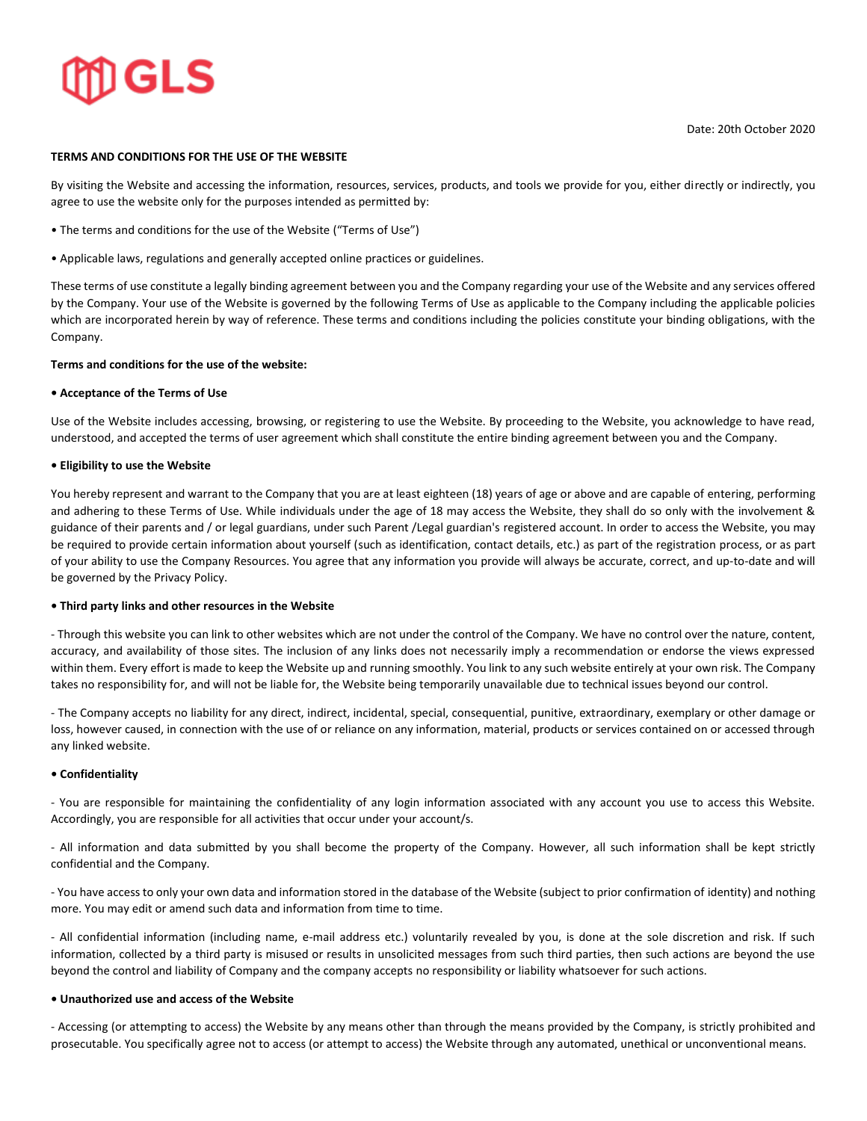# **GLS**

Date: 20th October 2020

# **TERMS AND CONDITIONS FOR THE USE OF THE WEBSITE**

By visiting the Website and accessing the information, resources, services, products, and tools we provide for you, either directly or indirectly, you agree to use the website only for the purposes intended as permitted by:

- The terms and conditions for the use of the Website ("Terms of Use")
- Applicable laws, regulations and generally accepted online practices or guidelines.

These terms of use constitute a legally binding agreement between you and the Company regarding your use of the Website and any services offered by the Company. Your use of the Website is governed by the following Terms of Use as applicable to the Company including the applicable policies which are incorporated herein by way of reference. These terms and conditions including the policies constitute your binding obligations, with the Company.

# **Terms and conditions for the use of the website:**

# **• Acceptance of the Terms of Use**

Use of the Website includes accessing, browsing, or registering to use the Website. By proceeding to the Website, you acknowledge to have read, understood, and accepted the terms of user agreement which shall constitute the entire binding agreement between you and the Company.

# **• Eligibility to use the Website**

You hereby represent and warrant to the Company that you are at least eighteen (18) years of age or above and are capable of entering, performing and adhering to these Terms of Use. While individuals under the age of 18 may access the Website, they shall do so only with the involvement & guidance of their parents and / or legal guardians, under such Parent /Legal guardian's registered account. In order to access the Website, you may be required to provide certain information about yourself (such as identification, contact details, etc.) as part of the registration process, or as part of your ability to use the Company Resources. You agree that any information you provide will always be accurate, correct, and up-to-date and will be governed by the Privacy Policy.

# **• Third party links and other resources in the Website**

- Through this website you can link to other websites which are not under the control of the Company. We have no control over the nature, content, accuracy, and availability of those sites. The inclusion of any links does not necessarily imply a recommendation or endorse the views expressed within them. Every effort is made to keep the Website up and running smoothly. You link to any such website entirely at your own risk. The Company takes no responsibility for, and will not be liable for, the Website being temporarily unavailable due to technical issues beyond our control.

- The Company accepts no liability for any direct, indirect, incidental, special, consequential, punitive, extraordinary, exemplary or other damage or loss, however caused, in connection with the use of or reliance on any information, material, products or services contained on or accessed through any linked website.

#### **• Confidentiality**

- You are responsible for maintaining the confidentiality of any login information associated with any account you use to access this Website. Accordingly, you are responsible for all activities that occur under your account/s.

- All information and data submitted by you shall become the property of the Company. However, all such information shall be kept strictly confidential and the Company.

- You have access to only your own data and information stored in the database of the Website (subject to prior confirmation of identity) and nothing more. You may edit or amend such data and information from time to time.

- All confidential information (including name, e-mail address etc.) voluntarily revealed by you, is done at the sole discretion and risk. If such information, collected by a third party is misused or results in unsolicited messages from such third parties, then such actions are beyond the use beyond the control and liability of Company and the company accepts no responsibility or liability whatsoever for such actions.

#### **• Unauthorized use and access of the Website**

- Accessing (or attempting to access) the Website by any means other than through the means provided by the Company, is strictly prohibited and prosecutable. You specifically agree not to access (or attempt to access) the Website through any automated, unethical or unconventional means.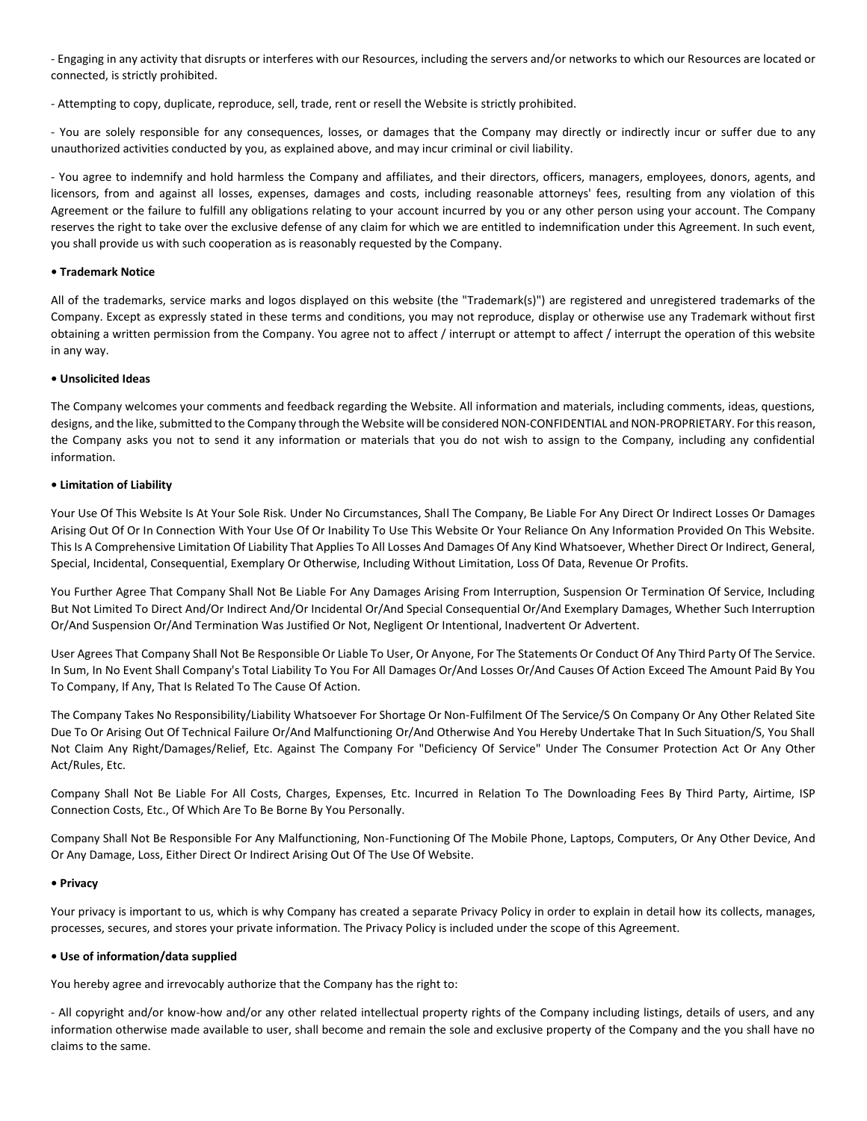- Engaging in any activity that disrupts or interferes with our Resources, including the servers and/or networks to which our Resources are located or connected, is strictly prohibited.

- Attempting to copy, duplicate, reproduce, sell, trade, rent or resell the Website is strictly prohibited.

- You are solely responsible for any consequences, losses, or damages that the Company may directly or indirectly incur or suffer due to any unauthorized activities conducted by you, as explained above, and may incur criminal or civil liability.

- You agree to indemnify and hold harmless the Company and affiliates, and their directors, officers, managers, employees, donors, agents, and licensors, from and against all losses, expenses, damages and costs, including reasonable attorneys' fees, resulting from any violation of this Agreement or the failure to fulfill any obligations relating to your account incurred by you or any other person using your account. The Company reserves the right to take over the exclusive defense of any claim for which we are entitled to indemnification under this Agreement. In such event, you shall provide us with such cooperation as is reasonably requested by the Company.

### **• Trademark Notice**

All of the trademarks, service marks and logos displayed on this website (the "Trademark(s)") are registered and unregistered trademarks of the Company. Except as expressly stated in these terms and conditions, you may not reproduce, display or otherwise use any Trademark without first obtaining a written permission from the Company. You agree not to affect / interrupt or attempt to affect / interrupt the operation of this website in any way.

# **• Unsolicited Ideas**

The Company welcomes your comments and feedback regarding the Website. All information and materials, including comments, ideas, questions, designs, and the like, submitted to the Company through the Website will be considered NON-CONFIDENTIAL and NON-PROPRIETARY. For this reason, the Company asks you not to send it any information or materials that you do not wish to assign to the Company, including any confidential information.

# **• Limitation of Liability**

Your Use Of This Website Is At Your Sole Risk. Under No Circumstances, Shall The Company, Be Liable For Any Direct Or Indirect Losses Or Damages Arising Out Of Or In Connection With Your Use Of Or Inability To Use This Website Or Your Reliance On Any Information Provided On This Website. This Is A Comprehensive Limitation Of Liability That Applies To All Losses And Damages Of Any Kind Whatsoever, Whether Direct Or Indirect, General, Special, Incidental, Consequential, Exemplary Or Otherwise, Including Without Limitation, Loss Of Data, Revenue Or Profits.

You Further Agree That Company Shall Not Be Liable For Any Damages Arising From Interruption, Suspension Or Termination Of Service, Including But Not Limited To Direct And/Or Indirect And/Or Incidental Or/And Special Consequential Or/And Exemplary Damages, Whether Such Interruption Or/And Suspension Or/And Termination Was Justified Or Not, Negligent Or Intentional, Inadvertent Or Advertent.

User Agrees That Company Shall Not Be Responsible Or Liable To User, Or Anyone, For The Statements Or Conduct Of Any Third Party Of The Service. In Sum, In No Event Shall Company's Total Liability To You For All Damages Or/And Losses Or/And Causes Of Action Exceed The Amount Paid By You To Company, If Any, That Is Related To The Cause Of Action.

The Company Takes No Responsibility/Liability Whatsoever For Shortage Or Non-Fulfilment Of The Service/S On Company Or Any Other Related Site Due To Or Arising Out Of Technical Failure Or/And Malfunctioning Or/And Otherwise And You Hereby Undertake That In Such Situation/S, You Shall Not Claim Any Right/Damages/Relief, Etc. Against The Company For "Deficiency Of Service" Under The Consumer Protection Act Or Any Other Act/Rules, Etc.

Company Shall Not Be Liable For All Costs, Charges, Expenses, Etc. Incurred in Relation To The Downloading Fees By Third Party, Airtime, ISP Connection Costs, Etc., Of Which Are To Be Borne By You Personally.

Company Shall Not Be Responsible For Any Malfunctioning, Non-Functioning Of The Mobile Phone, Laptops, Computers, Or Any Other Device, And Or Any Damage, Loss, Either Direct Or Indirect Arising Out Of The Use Of Website.

#### **• Privacy**

Your privacy is important to us, which is why Company has created a separate Privacy Policy in order to explain in detail how its collects, manages, processes, secures, and stores your private information. The Privacy Policy is included under the scope of this Agreement.

#### **• Use of information/data supplied**

You hereby agree and irrevocably authorize that the Company has the right to:

- All copyright and/or know-how and/or any other related intellectual property rights of the Company including listings, details of users, and any information otherwise made available to user, shall become and remain the sole and exclusive property of the Company and the you shall have no claims to the same.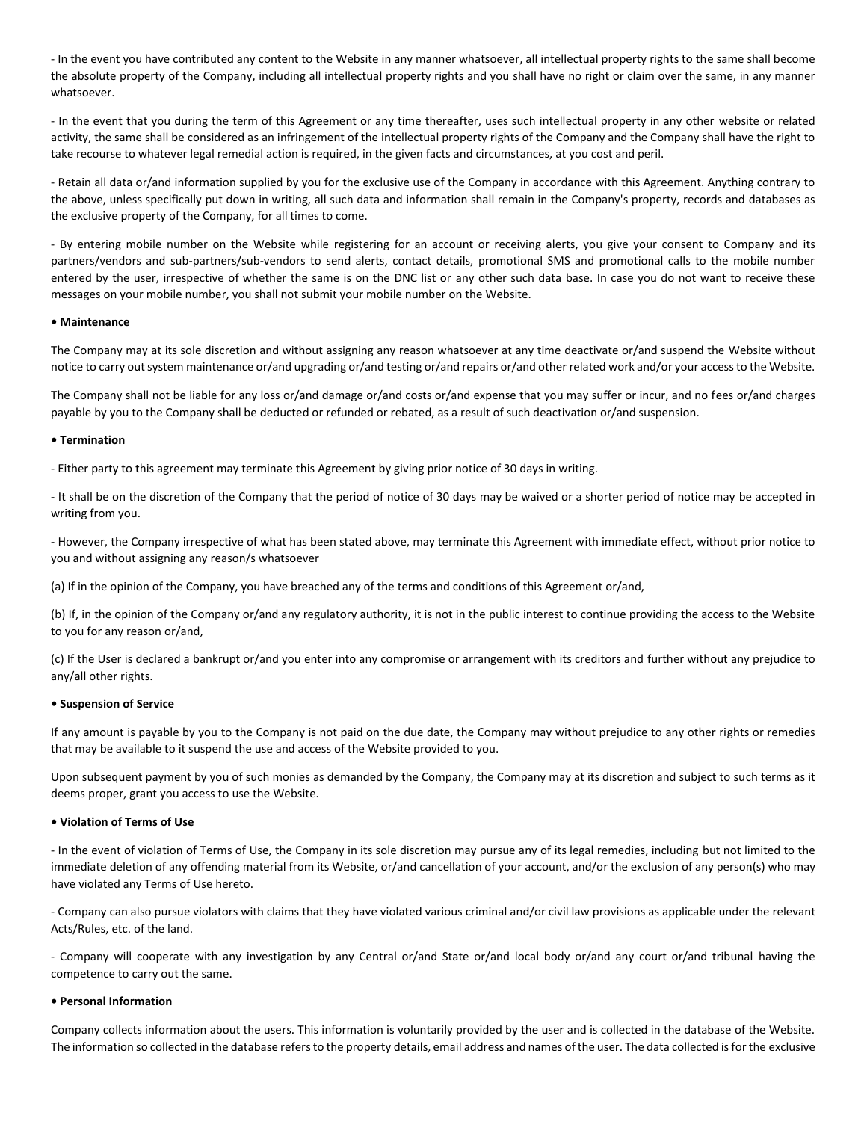- In the event you have contributed any content to the Website in any manner whatsoever, all intellectual property rights to the same shall become the absolute property of the Company, including all intellectual property rights and you shall have no right or claim over the same, in any manner whatsoever.

- In the event that you during the term of this Agreement or any time thereafter, uses such intellectual property in any other website or related activity, the same shall be considered as an infringement of the intellectual property rights of the Company and the Company shall have the right to take recourse to whatever legal remedial action is required, in the given facts and circumstances, at you cost and peril.

- Retain all data or/and information supplied by you for the exclusive use of the Company in accordance with this Agreement. Anything contrary to the above, unless specifically put down in writing, all such data and information shall remain in the Company's property, records and databases as the exclusive property of the Company, for all times to come.

- By entering mobile number on the Website while registering for an account or receiving alerts, you give your consent to Company and its partners/vendors and sub-partners/sub-vendors to send alerts, contact details, promotional SMS and promotional calls to the mobile number entered by the user, irrespective of whether the same is on the DNC list or any other such data base. In case you do not want to receive these messages on your mobile number, you shall not submit your mobile number on the Website.

#### **• Maintenance**

The Company may at its sole discretion and without assigning any reason whatsoever at any time deactivate or/and suspend the Website without notice to carry out system maintenance or/and upgrading or/and testing or/and repairs or/and other related work and/or your access to the Website.

The Company shall not be liable for any loss or/and damage or/and costs or/and expense that you may suffer or incur, and no fees or/and charges payable by you to the Company shall be deducted or refunded or rebated, as a result of such deactivation or/and suspension.

#### **• Termination**

- Either party to this agreement may terminate this Agreement by giving prior notice of 30 days in writing.

- It shall be on the discretion of the Company that the period of notice of 30 days may be waived or a shorter period of notice may be accepted in writing from you.

- However, the Company irrespective of what has been stated above, may terminate this Agreement with immediate effect, without prior notice to you and without assigning any reason/s whatsoever

(a) If in the opinion of the Company, you have breached any of the terms and conditions of this Agreement or/and,

(b) If, in the opinion of the Company or/and any regulatory authority, it is not in the public interest to continue providing the access to the Website to you for any reason or/and,

(c) If the User is declared a bankrupt or/and you enter into any compromise or arrangement with its creditors and further without any prejudice to any/all other rights.

#### **• Suspension of Service**

If any amount is payable by you to the Company is not paid on the due date, the Company may without prejudice to any other rights or remedies that may be available to it suspend the use and access of the Website provided to you.

Upon subsequent payment by you of such monies as demanded by the Company, the Company may at its discretion and subject to such terms as it deems proper, grant you access to use the Website.

# **• Violation of Terms of Use**

- In the event of violation of Terms of Use, the Company in its sole discretion may pursue any of its legal remedies, including but not limited to the immediate deletion of any offending material from its Website, or/and cancellation of your account, and/or the exclusion of any person(s) who may have violated any Terms of Use hereto.

- Company can also pursue violators with claims that they have violated various criminal and/or civil law provisions as applicable under the relevant Acts/Rules, etc. of the land.

- Company will cooperate with any investigation by any Central or/and State or/and local body or/and any court or/and tribunal having the competence to carry out the same.

#### **• Personal Information**

Company collects information about the users. This information is voluntarily provided by the user and is collected in the database of the Website. The information so collected in the database refers to the property details, email address and names of the user. The data collected is for the exclusive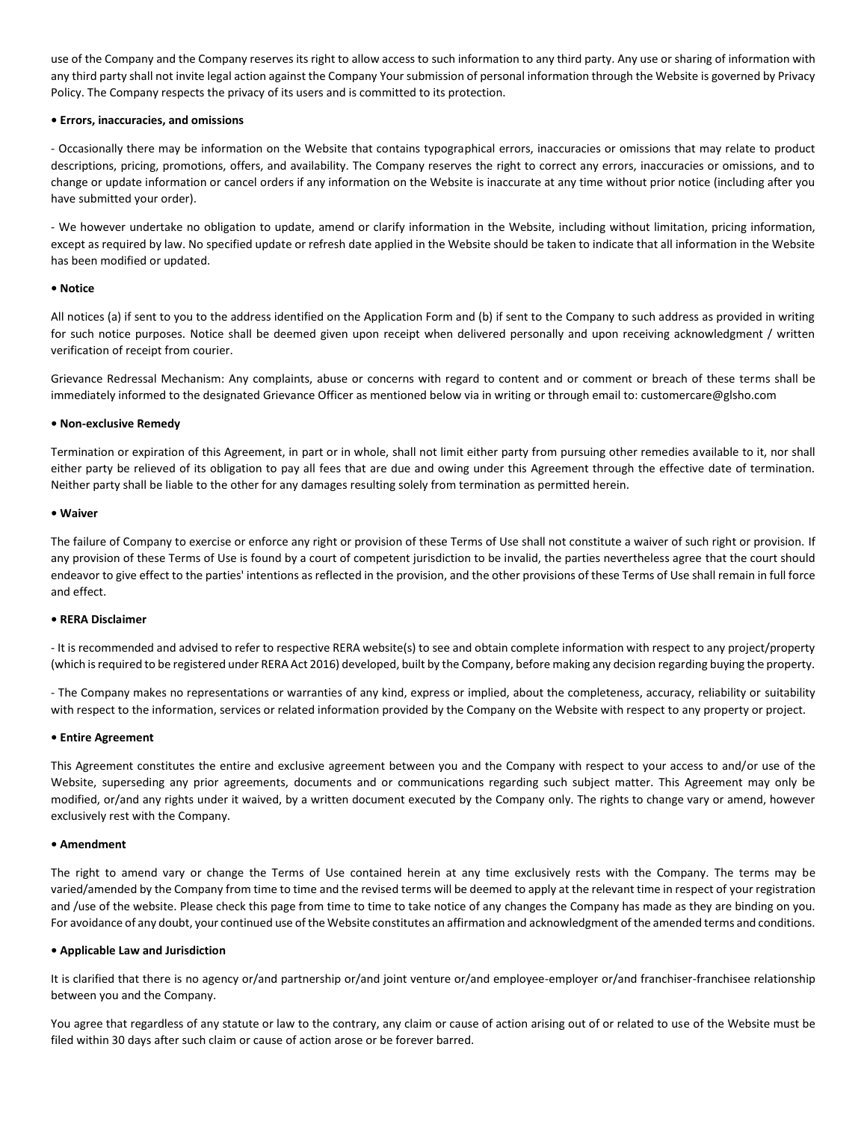use of the Company and the Company reserves its right to allow access to such information to any third party. Any use or sharing of information with any third party shall not invite legal action against the Company Your submission of personal information through the Website is governed by Privacy Policy. The Company respects the privacy of its users and is committed to its protection.

### **• Errors, inaccuracies, and omissions**

- Occasionally there may be information on the Website that contains typographical errors, inaccuracies or omissions that may relate to product descriptions, pricing, promotions, offers, and availability. The Company reserves the right to correct any errors, inaccuracies or omissions, and to change or update information or cancel orders if any information on the Website is inaccurate at any time without prior notice (including after you have submitted your order).

- We however undertake no obligation to update, amend or clarify information in the Website, including without limitation, pricing information, except as required by law. No specified update or refresh date applied in the Website should be taken to indicate that all information in the Website has been modified or updated.

#### **• Notice**

All notices (a) if sent to you to the address identified on the Application Form and (b) if sent to the Company to such address as provided in writing for such notice purposes. Notice shall be deemed given upon receipt when delivered personally and upon receiving acknowledgment / written verification of receipt from courier.

Grievance Redressal Mechanism: Any complaints, abuse or concerns with regard to content and or comment or breach of these terms shall be immediately informed to the designated Grievance Officer as mentioned below via in writing or through email to: customercare@glsho.com

#### **• Non-exclusive Remedy**

Termination or expiration of this Agreement, in part or in whole, shall not limit either party from pursuing other remedies available to it, nor shall either party be relieved of its obligation to pay all fees that are due and owing under this Agreement through the effective date of termination. Neither party shall be liable to the other for any damages resulting solely from termination as permitted herein.

#### **• Waiver**

The failure of Company to exercise or enforce any right or provision of these Terms of Use shall not constitute a waiver of such right or provision. If any provision of these Terms of Use is found by a court of competent jurisdiction to be invalid, the parties nevertheless agree that the court should endeavor to give effect to the parties' intentions as reflected in the provision, and the other provisions of these Terms of Use shall remain in full force and effect.

#### **• RERA Disclaimer**

- It is recommended and advised to refer to respective RERA website(s) to see and obtain complete information with respect to any project/property (which is required to be registered under RERA Act 2016) developed, built by the Company, before making any decision regarding buying the property.

- The Company makes no representations or warranties of any kind, express or implied, about the completeness, accuracy, reliability or suitability with respect to the information, services or related information provided by the Company on the Website with respect to any property or project.

#### **• Entire Agreement**

This Agreement constitutes the entire and exclusive agreement between you and the Company with respect to your access to and/or use of the Website, superseding any prior agreements, documents and or communications regarding such subject matter. This Agreement may only be modified, or/and any rights under it waived, by a written document executed by the Company only. The rights to change vary or amend, however exclusively rest with the Company.

#### **• Amendment**

The right to amend vary or change the Terms of Use contained herein at any time exclusively rests with the Company. The terms may be varied/amended by the Company from time to time and the revised terms will be deemed to apply at the relevant time in respect of your registration and /use of the website. Please check this page from time to time to take notice of any changes the Company has made as they are binding on you. For avoidance of any doubt, your continued use of the Website constitutes an affirmation and acknowledgment of the amended terms and conditions.

#### **• Applicable Law and Jurisdiction**

It is clarified that there is no agency or/and partnership or/and joint venture or/and employee-employer or/and franchiser-franchisee relationship between you and the Company.

You agree that regardless of any statute or law to the contrary, any claim or cause of action arising out of or related to use of the Website must be filed within 30 days after such claim or cause of action arose or be forever barred.